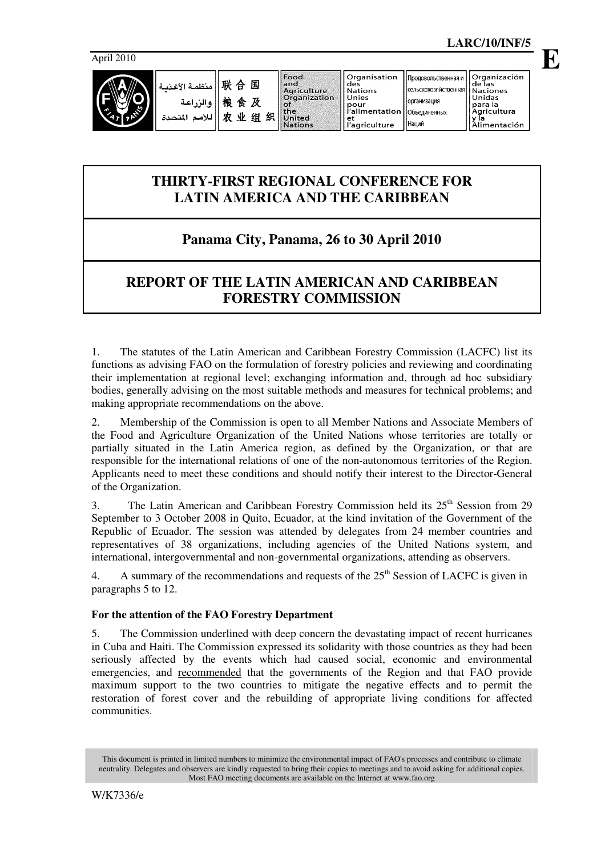

**E**

| وأمنظمة الأغذمة | 联 合 国 |   |    | Food<br>l andl | ll Organisation<br>des        | Поодовольственная и Г                    | <b>Organización</b><br>lde las |
|-----------------|-------|---|----|----------------|-------------------------------|------------------------------------------|--------------------------------|
|                 |       |   |    | Aariculture    | l Nations                     | <b>«</b> Сельскохозяйственная   Naciones |                                |
|                 |       |   |    | l Organization | Unies                         | Порганизация                             | Unidas                         |
| والزراعة        | 桹     | 食 | 及  | ⊥of            | pour                          |                                          | para la                        |
|                 |       |   |    | <b>Ithe</b>    | l'alimentation   Объединенных |                                          | Agricultura                    |
| اللأمم المتحدة  | 贞     | 业 | 组织 | United         | et                            |                                          |                                |
|                 |       |   |    | <b>Nations</b> | l'agriculture                 | <b>Наций</b>                             | limentación.                   |

# **THIRTY-FIRST REGIONAL CONFERENCE FOR LATIN AMERICA AND THE CARIBBEAN**

# **Panama City, Panama, 26 to 30 April 2010**

## **REPORT OF THE LATIN AMERICAN AND CARIBBEAN FORESTRY COMMISSION**

1. The statutes of the Latin American and Caribbean Forestry Commission (LACFC) list its functions as advising FAO on the formulation of forestry policies and reviewing and coordinating their implementation at regional level; exchanging information and, through ad hoc subsidiary bodies, generally advising on the most suitable methods and measures for technical problems; and making appropriate recommendations on the above.

2. Membership of the Commission is open to all Member Nations and Associate Members of the Food and Agriculture Organization of the United Nations whose territories are totally or partially situated in the Latin America region, as defined by the Organization, or that are responsible for the international relations of one of the non-autonomous territories of the Region. Applicants need to meet these conditions and should notify their interest to the Director-General of the Organization.

3. The Latin American and Caribbean Forestry Commission held its  $25<sup>th</sup>$  Session from 29 September to 3 October 2008 in Quito, Ecuador, at the kind invitation of the Government of the Republic of Ecuador. The session was attended by delegates from 24 member countries and representatives of 38 organizations, including agencies of the United Nations system, and international, intergovernmental and non-governmental organizations, attending as observers.

4. A summary of the recommendations and requests of the  $25<sup>th</sup>$  Session of LACFC is given in paragraphs 5 to 12.

### **For the attention of the FAO Forestry Department**

5. The Commission underlined with deep concern the devastating impact of recent hurricanes in Cuba and Haiti. The Commission expressed its solidarity with those countries as they had been seriously affected by the events which had caused social, economic and environmental emergencies, and recommended that the governments of the Region and that FAO provide maximum support to the two countries to mitigate the negative effects and to permit the restoration of forest cover and the rebuilding of appropriate living conditions for affected communities.

This document is printed in limited numbers to minimize the environmental impact of FAO's processes and contribute to climate neutrality. Delegates and observers are kindly requested to bring their copies to meetings and to avoid asking for additional copies. Most FAO meeting documents are available on the Internet at www.fao.org